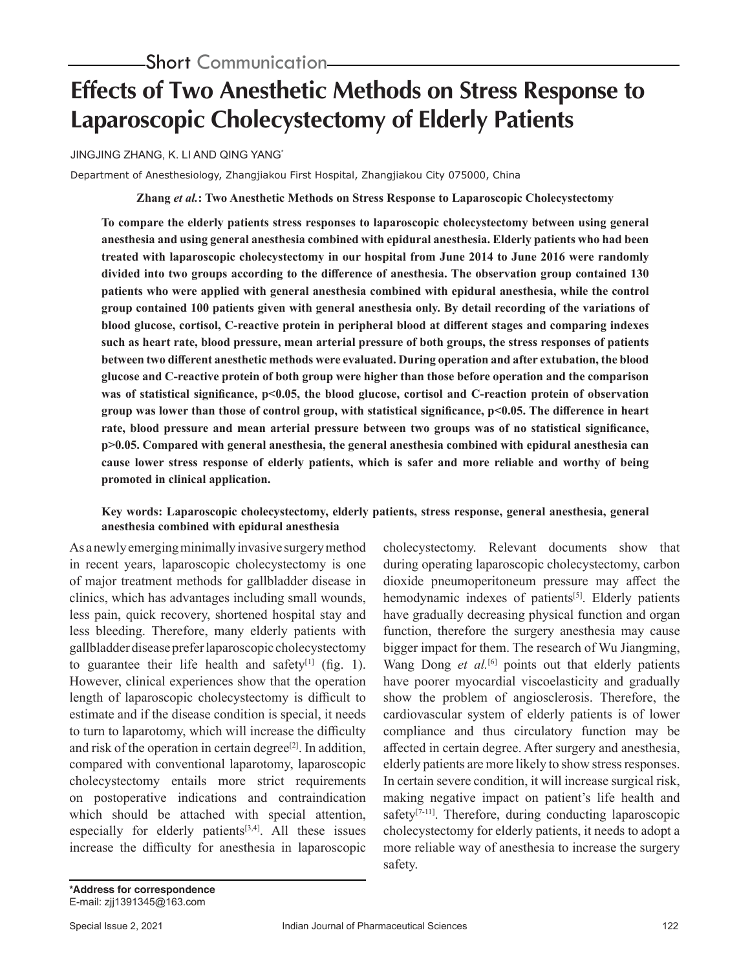# **Effects of Two Anesthetic Methods on Stress Response to Laparoscopic Cholecystectomy of Elderly Patients**

### JINGJING ZHANG, K. LI AND QING YANG\*

Department of Anesthesiology, Zhangjiakou First Hospital, Zhangjiakou City 075000, China

**Zhang** *et al.***: Two Anesthetic Methods on Stress Response to Laparoscopic Cholecystectomy**

**To compare the elderly patients stress responses to laparoscopic cholecystectomy between using general anesthesia and using general anesthesia combined with epidural anesthesia. Elderly patients who had been treated with laparoscopic cholecystectomy in our hospital from June 2014 to June 2016 were randomly divided into two groups according to the difference of anesthesia. The observation group contained 130 patients who were applied with general anesthesia combined with epidural anesthesia, while the control group contained 100 patients given with general anesthesia only. By detail recording of the variations of blood glucose, cortisol, C-reactive protein in peripheral blood at different stages and comparing indexes such as heart rate, blood pressure, mean arterial pressure of both groups, the stress responses of patients between two different anesthetic methods were evaluated. During operation and after extubation, the blood glucose and C-reactive protein of both group were higher than those before operation and the comparison**  was of statistical significance, p<0.05, the blood glucose, cortisol and C-reaction protein of observation **group was lower than those of control group, with statistical significance, p<0.05. The difference in heart rate, blood pressure and mean arterial pressure between two groups was of no statistical significance, p>0.05. Compared with general anesthesia, the general anesthesia combined with epidural anesthesia can cause lower stress response of elderly patients, which is safer and more reliable and worthy of being promoted in clinical application.** 

### **Key words: Laparoscopic cholecystectomy, elderly patients, stress response, general anesthesia, general anesthesia combined with epidural anesthesia**

As a newly emerging minimally invasive surgery method in recent years, laparoscopic cholecystectomy is one of major treatment methods for gallbladder disease in clinics, which has advantages including small wounds, less pain, quick recovery, shortened hospital stay and less bleeding. Therefore, many elderly patients with gallbladder disease prefer laparoscopic cholecystectomy to guarantee their life health and safety $[1]$  (fig. 1). However, clinical experiences show that the operation length of laparoscopic cholecystectomy is difficult to estimate and if the disease condition is special, it needs to turn to laparotomy, which will increase the difficulty and risk of the operation in certain degree<sup>[2]</sup>. In addition, compared with conventional laparotomy, laparoscopic cholecystectomy entails more strict requirements on postoperative indications and contraindication which should be attached with special attention, especially for elderly patients $[3,4]$ . All these issues increase the difficulty for anesthesia in laparoscopic cholecystectomy. Relevant documents show that during operating laparoscopic cholecystectomy, carbon dioxide pneumoperitoneum pressure may affect the hemodynamic indexes of patients<sup>[5]</sup>. Elderly patients have gradually decreasing physical function and organ function, therefore the surgery anesthesia may cause bigger impact for them. The research of Wu Jiangming, Wang Dong *et al.*<sup>[6]</sup> points out that elderly patients have poorer myocardial viscoelasticity and gradually show the problem of angiosclerosis. Therefore, the cardiovascular system of elderly patients is of lower compliance and thus circulatory function may be affected in certain degree. After surgery and anesthesia, elderly patients are more likely to show stress responses. In certain severe condition, it will increase surgical risk, making negative impact on patient's life health and safety<sup>[7-11]</sup>. Therefore, during conducting laparoscopic cholecystectomy for elderly patients, it needs to adopt a more reliable way of anesthesia to increase the surgery safety.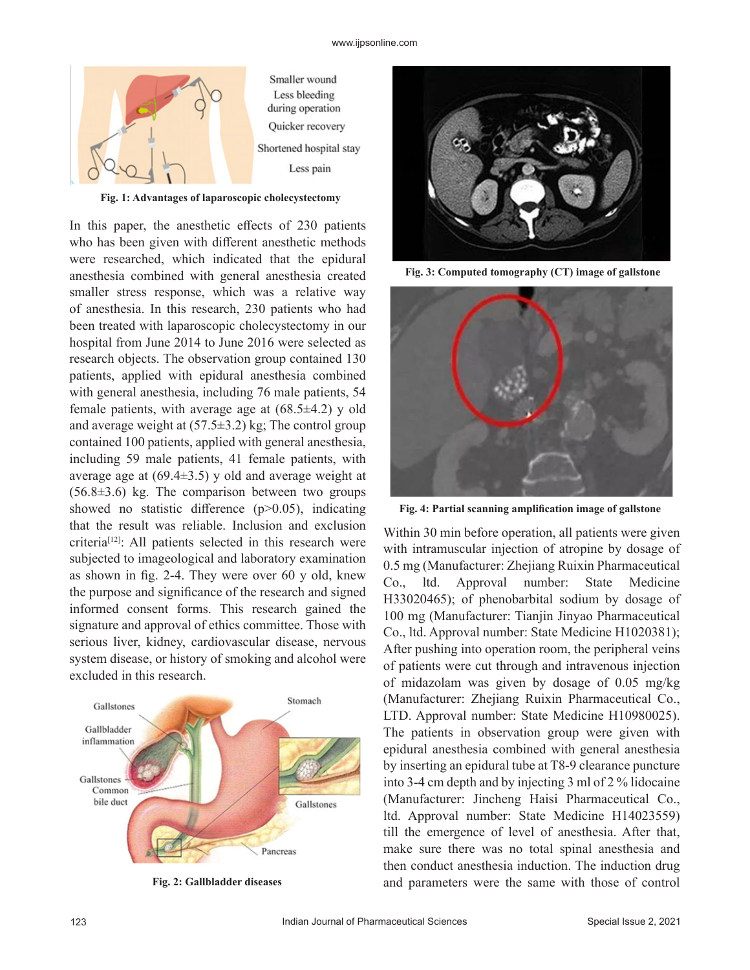

**Fig. 1: Advantages of laparoscopic cholecystectomy**

In this paper, the anesthetic effects of 230 patients who has been given with different anesthetic methods were researched, which indicated that the epidural anesthesia combined with general anesthesia created smaller stress response, which was a relative way of anesthesia. In this research, 230 patients who had been treated with laparoscopic cholecystectomy in our hospital from June 2014 to June 2016 were selected as research objects. The observation group contained 130 patients, applied with epidural anesthesia combined with general anesthesia, including 76 male patients, 54 female patients, with average age at  $(68.5\pm4.2)$  y old and average weight at  $(57.5\pm3.2)$  kg; The control group contained 100 patients, applied with general anesthesia, including 59 male patients, 41 female patients, with average age at  $(69.4\pm3.5)$  y old and average weight at  $(56.8±3.6)$  kg. The comparison between two groups showed no statistic difference  $(p>0.05)$ , indicating that the result was reliable. Inclusion and exclusion criteria[12]: All patients selected in this research were subjected to imageological and laboratory examination as shown in fig. 2-4. They were over 60 y old, knew the purpose and significance of the research and signed informed consent forms. This research gained the signature and approval of ethics committee. Those with serious liver, kidney, cardiovascular disease, nervous system disease, or history of smoking and alcohol were excluded in this research.



**Fig. 2: Gallbladder diseases**



**Fig. 3: Computed tomography (CT) image of gallstone**



**Fig. 4: Partial scanning amplification image of gallstone**

Within 30 min before operation, all patients were given with intramuscular injection of atropine by dosage of 0.5 mg (Manufacturer: Zhejiang Ruixin Pharmaceutical Co., ltd. Approval number: State Medicine H33020465); of phenobarbital sodium by dosage of 100 mg (Manufacturer: Tianjin Jinyao Pharmaceutical Co., ltd. Approval number: State Medicine H1020381); After pushing into operation room, the peripheral veins of patients were cut through and intravenous injection of midazolam was given by dosage of 0.05 mg/kg (Manufacturer: Zhejiang Ruixin Pharmaceutical Co., LTD. Approval number: State Medicine H10980025). The patients in observation group were given with epidural anesthesia combined with general anesthesia by inserting an epidural tube at T8-9 clearance puncture into 3-4 cm depth and by injecting 3 ml of 2 % lidocaine (Manufacturer: Jincheng Haisi Pharmaceutical Co., ltd. Approval number: State Medicine H14023559) till the emergence of level of anesthesia. After that, make sure there was no total spinal anesthesia and then conduct anesthesia induction. The induction drug and parameters were the same with those of control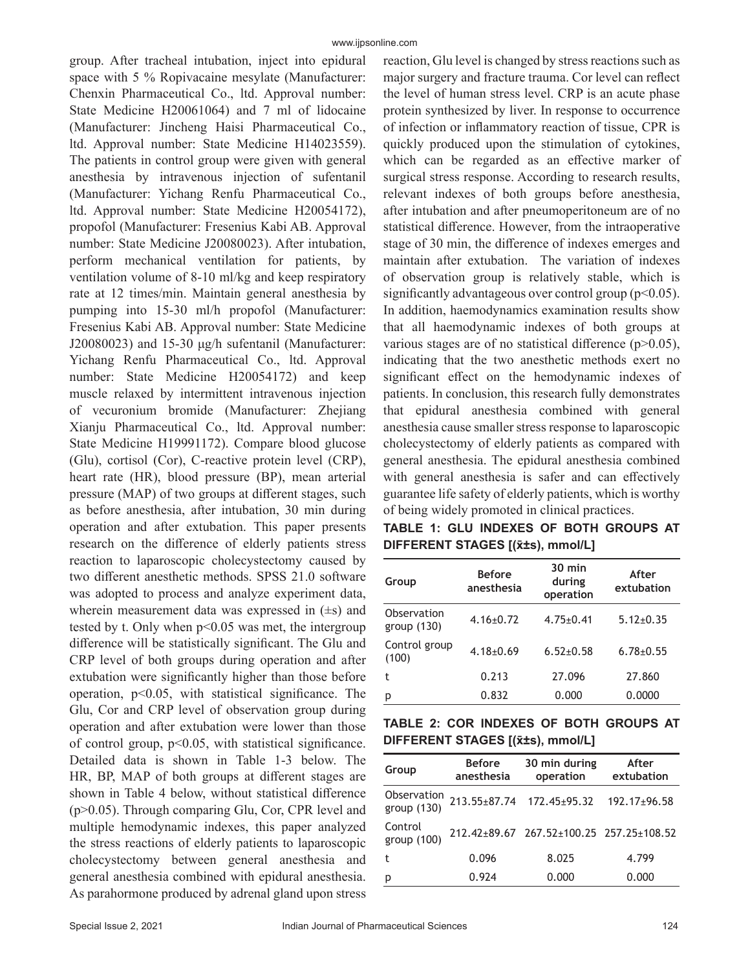group. After tracheal intubation, inject into epidural space with 5 % Ropivacaine mesylate (Manufacturer: Chenxin Pharmaceutical Co., ltd. Approval number: State Medicine H20061064) and 7 ml of lidocaine (Manufacturer: Jincheng Haisi Pharmaceutical Co., ltd. Approval number: State Medicine H14023559). The patients in control group were given with general anesthesia by intravenous injection of sufentanil (Manufacturer: Yichang Renfu Pharmaceutical Co., ltd. Approval number: State Medicine H20054172), propofol (Manufacturer: Fresenius Kabi AB. Approval number: State Medicine J20080023). After intubation, perform mechanical ventilation for patients, by ventilation volume of 8-10 ml/kg and keep respiratory rate at 12 times/min. Maintain general anesthesia by pumping into 15-30 ml/h propofol (Manufacturer: Fresenius Kabi AB. Approval number: State Medicine J20080023) and 15-30 μg/h sufentanil (Manufacturer: Yichang Renfu Pharmaceutical Co., ltd. Approval number: State Medicine H20054172) and keep muscle relaxed by intermittent intravenous injection of vecuronium bromide (Manufacturer: Zhejiang Xianju Pharmaceutical Co., ltd. Approval number: State Medicine H19991172). Compare blood glucose (Glu), cortisol (Cor), C-reactive protein level (CRP), heart rate (HR), blood pressure (BP), mean arterial pressure (MAP) of two groups at different stages, such as before anesthesia, after intubation, 30 min during operation and after extubation. This paper presents research on the difference of elderly patients stress reaction to laparoscopic cholecystectomy caused by two different anesthetic methods. SPSS 21.0 software was adopted to process and analyze experiment data, wherein measurement data was expressed in  $(\pm s)$  and tested by t. Only when p<0.05 was met, the intergroup difference will be statistically significant. The Glu and CRP level of both groups during operation and after extubation were significantly higher than those before operation, p<0.05, with statistical significance. The Glu, Cor and CRP level of observation group during operation and after extubation were lower than those of control group,  $p<0.05$ , with statistical significance. Detailed data is shown in Table 1-3 below. The HR, BP, MAP of both groups at different stages are shown in Table 4 below, without statistical difference (p>0.05). Through comparing Glu, Cor, CPR level and multiple hemodynamic indexes, this paper analyzed the stress reactions of elderly patients to laparoscopic cholecystectomy between general anesthesia and general anesthesia combined with epidural anesthesia. As parahormone produced by adrenal gland upon stress reaction, Glu level is changed by stress reactions such as major surgery and fracture trauma. Cor level can reflect the level of human stress level. CRP is an acute phase protein synthesized by liver. In response to occurrence of infection or inflammatory reaction of tissue, CPR is quickly produced upon the stimulation of cytokines, which can be regarded as an effective marker of surgical stress response. According to research results, relevant indexes of both groups before anesthesia, after intubation and after pneumoperitoneum are of no statistical difference. However, from the intraoperative stage of 30 min, the difference of indexes emerges and maintain after extubation. The variation of indexes of observation group is relatively stable, which is significantly advantageous over control group  $(p<0.05)$ . In addition, haemodynamics examination results show that all haemodynamic indexes of both groups at various stages are of no statistical difference  $(p>0.05)$ , indicating that the two anesthetic methods exert no significant effect on the hemodynamic indexes of patients. In conclusion, this research fully demonstrates that epidural anesthesia combined with general anesthesia cause smaller stress response to laparoscopic cholecystectomy of elderly patients as compared with general anesthesia. The epidural anesthesia combined with general anesthesia is safer and can effectively guarantee life safety of elderly patients, which is worthy of being widely promoted in clinical practices.

|                                          |  |  |  |  |  | TABLE 1: GLU INDEXES OF BOTH GROUPS AT |  |  |
|------------------------------------------|--|--|--|--|--|----------------------------------------|--|--|
| <b>DIFFERENT STAGES [(x̄±s), mmol/L]</b> |  |  |  |  |  |                                        |  |  |

| Group                        | <b>Before</b><br>anesthesia | $30 \text{ min}$<br>during<br>operation | After<br>extubation |  |
|------------------------------|-----------------------------|-----------------------------------------|---------------------|--|
| Observation<br>group $(130)$ | $4.16 \pm 0.72$             | $4.75 \pm 0.41$                         | $5.12 \pm 0.35$     |  |
| Control group<br>(100)       | $4.18 \pm 0.69$             | $6.52 + 0.58$                           | $6.78 + 0.55$       |  |
| t                            | 0.213                       | 27.096                                  | 27.860              |  |
| p                            | 0.832                       | 0.000                                   | 0.0000              |  |

**TABLE 2: COR INDEXES OF BOTH GROUPS AT DIFFERENT STAGES [(x̄±s), mmol/L]**

| Group                      | <b>Before</b><br>anesthesia | 30 min during<br>operation               | After<br>extubation |  |
|----------------------------|-----------------------------|------------------------------------------|---------------------|--|
| Observation<br>group (130) |                             | 213.55±87.74 172.45±95.32                | $192.17 \pm 96.58$  |  |
| Control<br>group (100)     |                             | 212.42±89.67 267.52±100.25 257.25±108.52 |                     |  |
| t                          | 0.096                       | 8.025                                    | 4.799               |  |
| p                          | 0.924                       | 0.000                                    | 0.000               |  |